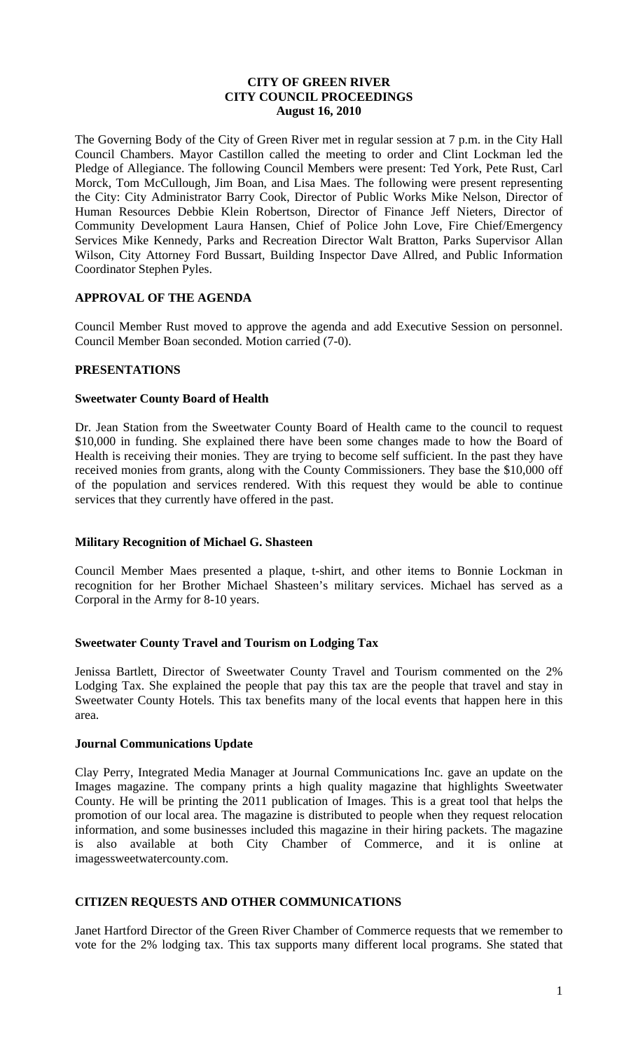## **CITY OF GREEN RIVER CITY COUNCIL PROCEEDINGS August 16, 2010**

The Governing Body of the City of Green River met in regular session at 7 p.m. in the City Hall Council Chambers. Mayor Castillon called the meeting to order and Clint Lockman led the Pledge of Allegiance. The following Council Members were present: Ted York, Pete Rust, Carl Morck, Tom McCullough, Jim Boan, and Lisa Maes. The following were present representing the City: City Administrator Barry Cook, Director of Public Works Mike Nelson, Director of Human Resources Debbie Klein Robertson, Director of Finance Jeff Nieters, Director of Community Development Laura Hansen, Chief of Police John Love, Fire Chief/Emergency Services Mike Kennedy, Parks and Recreation Director Walt Bratton, Parks Supervisor Allan Wilson, City Attorney Ford Bussart, Building Inspector Dave Allred, and Public Information Coordinator Stephen Pyles.

### **APPROVAL OF THE AGENDA**

Council Member Rust moved to approve the agenda and add Executive Session on personnel. Council Member Boan seconded. Motion carried (7-0).

## **PRESENTATIONS**

### **Sweetwater County Board of Health**

Dr. Jean Station from the Sweetwater County Board of Health came to the council to request \$10,000 in funding. She explained there have been some changes made to how the Board of Health is receiving their monies. They are trying to become self sufficient. In the past they have received monies from grants, along with the County Commissioners. They base the \$10,000 off of the population and services rendered. With this request they would be able to continue services that they currently have offered in the past.

### **Military Recognition of Michael G. Shasteen**

Council Member Maes presented a plaque, t-shirt, and other items to Bonnie Lockman in recognition for her Brother Michael Shasteen's military services. Michael has served as a Corporal in the Army for 8-10 years.

### **Sweetwater County Travel and Tourism on Lodging Tax**

Jenissa Bartlett, Director of Sweetwater County Travel and Tourism commented on the 2% Lodging Tax. She explained the people that pay this tax are the people that travel and stay in Sweetwater County Hotels. This tax benefits many of the local events that happen here in this area.

### **Journal Communications Update**

Clay Perry, Integrated Media Manager at Journal Communications Inc. gave an update on the Images magazine. The company prints a high quality magazine that highlights Sweetwater County. He will be printing the 2011 publication of Images. This is a great tool that helps the promotion of our local area. The magazine is distributed to people when they request relocation information, and some businesses included this magazine in their hiring packets. The magazine is also available at both City Chamber of Commerce, and it is online at imagessweetwatercounty.com.

## **CITIZEN REQUESTS AND OTHER COMMUNICATIONS**

Janet Hartford Director of the Green River Chamber of Commerce requests that we remember to vote for the 2% lodging tax. This tax supports many different local programs. She stated that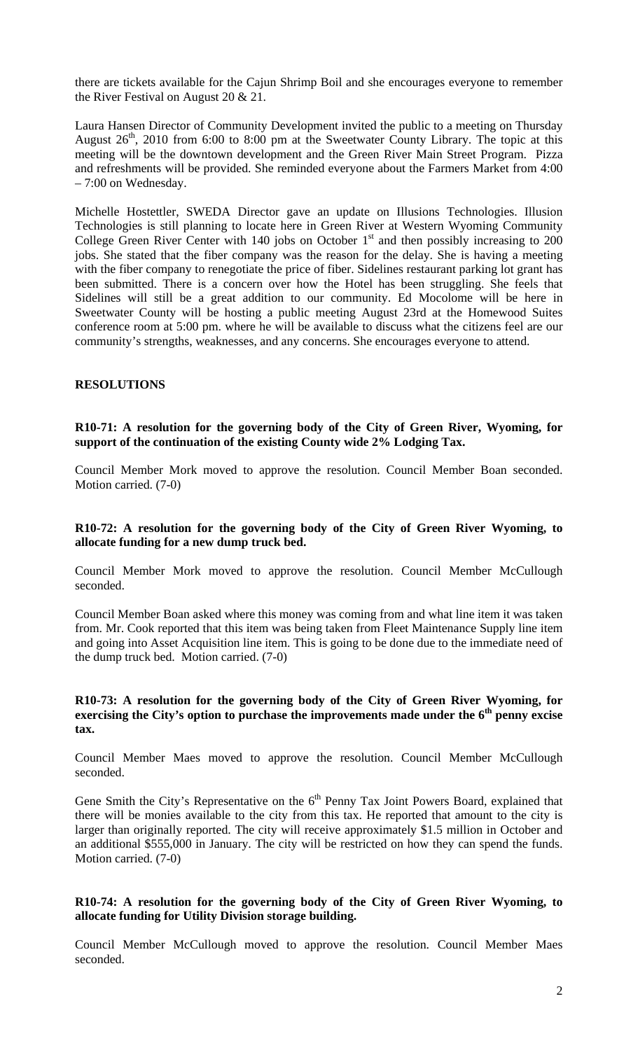there are tickets available for the Cajun Shrimp Boil and she encourages everyone to remember the River Festival on August 20 & 21.

Laura Hansen Director of Community Development invited the public to a meeting on Thursday August  $26<sup>th</sup>$ , 2010 from 6:00 to 8:00 pm at the Sweetwater County Library. The topic at this meeting will be the downtown development and the Green River Main Street Program. Pizza and refreshments will be provided. She reminded everyone about the Farmers Market from 4:00 – 7:00 on Wednesday.

Michelle Hostettler, SWEDA Director gave an update on Illusions Technologies. Illusion Technologies is still planning to locate here in Green River at Western Wyoming Community College Green River Center with 140 jobs on October  $1<sup>st</sup>$  and then possibly increasing to 200 jobs. She stated that the fiber company was the reason for the delay. She is having a meeting with the fiber company to renegotiate the price of fiber. Sidelines restaurant parking lot grant has been submitted. There is a concern over how the Hotel has been struggling. She feels that Sidelines will still be a great addition to our community. Ed Mocolome will be here in Sweetwater County will be hosting a public meeting August 23rd at the Homewood Suites conference room at 5:00 pm. where he will be available to discuss what the citizens feel are our community's strengths, weaknesses, and any concerns. She encourages everyone to attend.

#### **RESOLUTIONS**

**R10-71: A resolution for the governing body of the City of Green River, Wyoming, for support of the continuation of the existing County wide 2% Lodging Tax.**

Council Member Mork moved to approve the resolution. Council Member Boan seconded. Motion carried. (7-0)

#### **R10-72: A resolution for the governing body of the City of Green River Wyoming, to allocate funding for a new dump truck bed.**

Council Member Mork moved to approve the resolution. Council Member McCullough seconded.

Council Member Boan asked where this money was coming from and what line item it was taken from. Mr. Cook reported that this item was being taken from Fleet Maintenance Supply line item and going into Asset Acquisition line item. This is going to be done due to the immediate need of the dump truck bed. Motion carried. (7-0)

### **R10-73: A resolution for the governing body of the City of Green River Wyoming, for**  exercising the City's option to purchase the improvements made under the 6<sup>th</sup> penny excise **tax.**

Council Member Maes moved to approve the resolution. Council Member McCullough seconded.

Gene Smith the City's Representative on the  $6<sup>th</sup>$  Penny Tax Joint Powers Board, explained that there will be monies available to the city from this tax. He reported that amount to the city is larger than originally reported. The city will receive approximately \$1.5 million in October and an additional \$555,000 in January. The city will be restricted on how they can spend the funds. Motion carried. (7-0)

#### **R10-74: A resolution for the governing body of the City of Green River Wyoming, to allocate funding for Utility Division storage building.**

Council Member McCullough moved to approve the resolution. Council Member Maes seconded.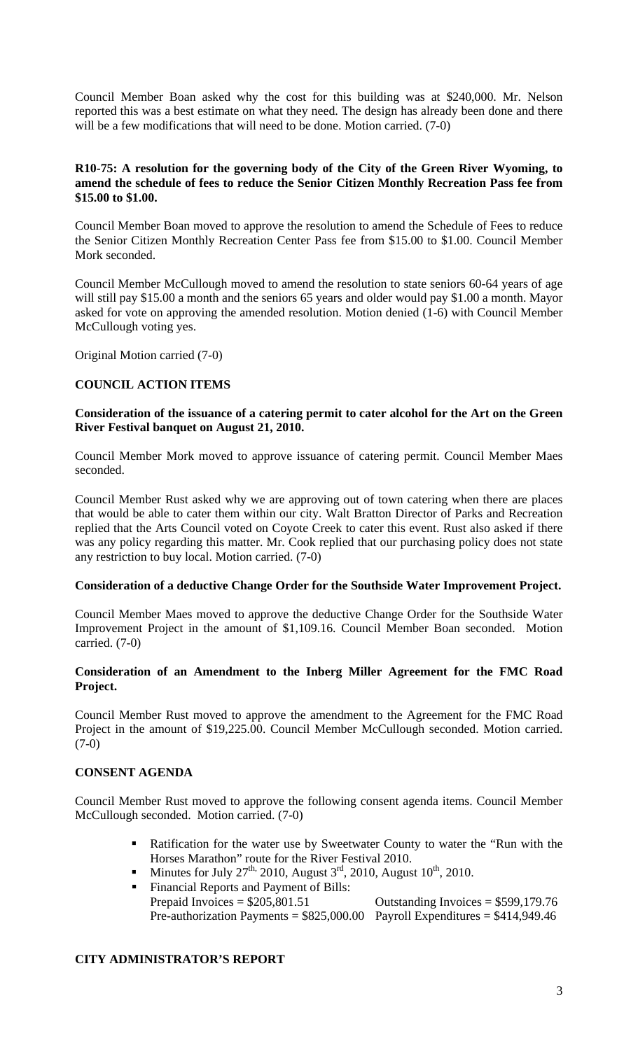Council Member Boan asked why the cost for this building was at \$240,000. Mr. Nelson reported this was a best estimate on what they need. The design has already been done and there will be a few modifications that will need to be done. Motion carried. (7-0)

## **R10-75: A resolution for the governing body of the City of the Green River Wyoming, to amend the schedule of fees to reduce the Senior Citizen Monthly Recreation Pass fee from \$15.00 to \$1.00.**

Council Member Boan moved to approve the resolution to amend the Schedule of Fees to reduce the Senior Citizen Monthly Recreation Center Pass fee from \$15.00 to \$1.00. Council Member Mork seconded.

Council Member McCullough moved to amend the resolution to state seniors 60-64 years of age will still pay \$15.00 a month and the seniors 65 years and older would pay \$1.00 a month. Mayor asked for vote on approving the amended resolution. Motion denied (1-6) with Council Member McCullough voting yes.

Original Motion carried (7-0)

# **COUNCIL ACTION ITEMS**

## **Consideration of the issuance of a catering permit to cater alcohol for the Art on the Green River Festival banquet on August 21, 2010.**

Council Member Mork moved to approve issuance of catering permit. Council Member Maes seconded.

Council Member Rust asked why we are approving out of town catering when there are places that would be able to cater them within our city. Walt Bratton Director of Parks and Recreation replied that the Arts Council voted on Coyote Creek to cater this event. Rust also asked if there was any policy regarding this matter. Mr. Cook replied that our purchasing policy does not state any restriction to buy local. Motion carried. (7-0)

# **Consideration of a deductive Change Order for the Southside Water Improvement Project.**

Council Member Maes moved to approve the deductive Change Order for the Southside Water Improvement Project in the amount of \$1,109.16. Council Member Boan seconded. Motion carried. (7-0)

## **Consideration of an Amendment to the Inberg Miller Agreement for the FMC Road Project.**

Council Member Rust moved to approve the amendment to the Agreement for the FMC Road Project in the amount of \$19,225.00. Council Member McCullough seconded. Motion carried. (7-0)

### **CONSENT AGENDA**

Council Member Rust moved to approve the following consent agenda items. Council Member McCullough seconded. Motion carried. (7-0)

- **Ratification for the water use by Sweetwater County to water the "Run with the** Horses Marathon" route for the River Festival 2010.
- Minutes for July 27<sup>th,</sup> 2010, August  $3<sup>rd</sup>$ , 2010, August  $10<sup>th</sup>$ , 2010.
- Financial Reports and Payment of Bills: Prepaid Invoices  $= $205,801.51$  Outstanding Invoices  $= $599,179.76$ Pre-authorization Payments =  $$825,000.00$  Payroll Expenditures =  $$414,949.46$

# **CITY ADMINISTRATOR'S REPORT**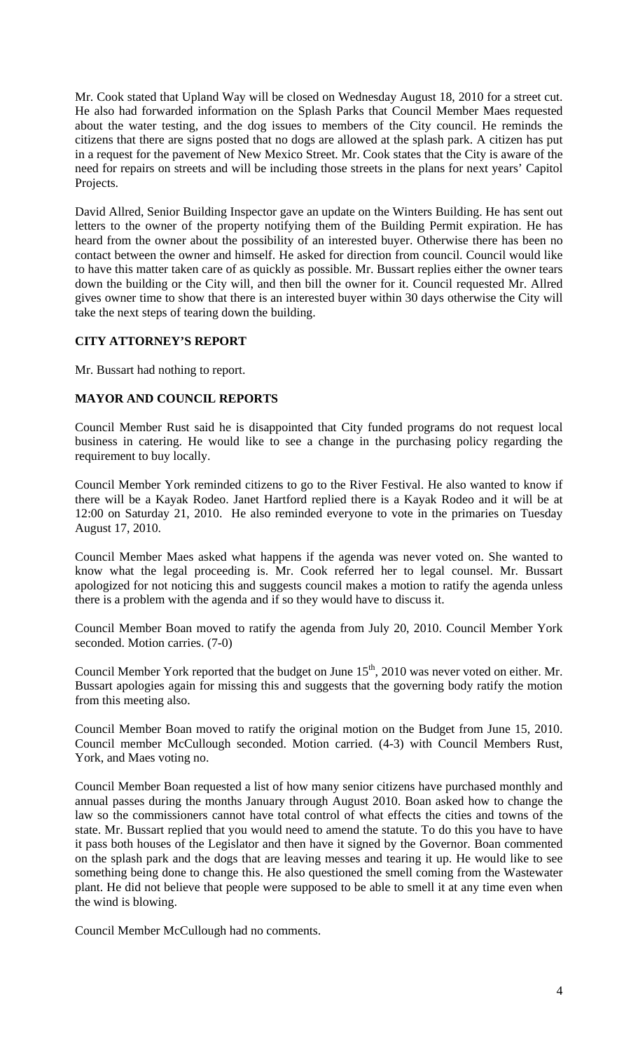Mr. Cook stated that Upland Way will be closed on Wednesday August 18, 2010 for a street cut. He also had forwarded information on the Splash Parks that Council Member Maes requested about the water testing, and the dog issues to members of the City council. He reminds the citizens that there are signs posted that no dogs are allowed at the splash park. A citizen has put in a request for the pavement of New Mexico Street. Mr. Cook states that the City is aware of the need for repairs on streets and will be including those streets in the plans for next years' Capitol Projects.

David Allred, Senior Building Inspector gave an update on the Winters Building. He has sent out letters to the owner of the property notifying them of the Building Permit expiration. He has heard from the owner about the possibility of an interested buyer. Otherwise there has been no contact between the owner and himself. He asked for direction from council. Council would like to have this matter taken care of as quickly as possible. Mr. Bussart replies either the owner tears down the building or the City will, and then bill the owner for it. Council requested Mr. Allred gives owner time to show that there is an interested buyer within 30 days otherwise the City will take the next steps of tearing down the building.

# **CITY ATTORNEY'S REPORT**

Mr. Bussart had nothing to report.

## **MAYOR AND COUNCIL REPORTS**

Council Member Rust said he is disappointed that City funded programs do not request local business in catering. He would like to see a change in the purchasing policy regarding the requirement to buy locally.

Council Member York reminded citizens to go to the River Festival. He also wanted to know if there will be a Kayak Rodeo. Janet Hartford replied there is a Kayak Rodeo and it will be at 12:00 on Saturday 21, 2010. He also reminded everyone to vote in the primaries on Tuesday August 17, 2010.

Council Member Maes asked what happens if the agenda was never voted on. She wanted to know what the legal proceeding is. Mr. Cook referred her to legal counsel. Mr. Bussart apologized for not noticing this and suggests council makes a motion to ratify the agenda unless there is a problem with the agenda and if so they would have to discuss it.

Council Member Boan moved to ratify the agenda from July 20, 2010. Council Member York seconded. Motion carries. (7-0)

Council Member York reported that the budget on June  $15<sup>th</sup>$ , 2010 was never voted on either. Mr. Bussart apologies again for missing this and suggests that the governing body ratify the motion from this meeting also.

Council Member Boan moved to ratify the original motion on the Budget from June 15, 2010. Council member McCullough seconded. Motion carried. (4-3) with Council Members Rust, York, and Maes voting no.

Council Member Boan requested a list of how many senior citizens have purchased monthly and annual passes during the months January through August 2010. Boan asked how to change the law so the commissioners cannot have total control of what effects the cities and towns of the state. Mr. Bussart replied that you would need to amend the statute. To do this you have to have it pass both houses of the Legislator and then have it signed by the Governor. Boan commented on the splash park and the dogs that are leaving messes and tearing it up. He would like to see something being done to change this. He also questioned the smell coming from the Wastewater plant. He did not believe that people were supposed to be able to smell it at any time even when the wind is blowing.

Council Member McCullough had no comments.